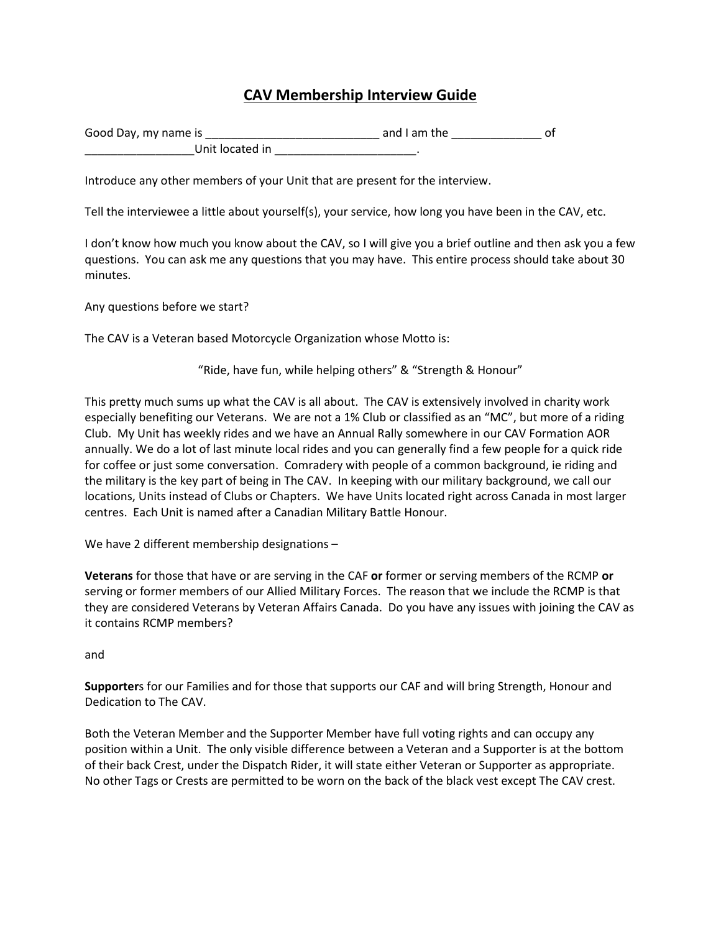## **CAV Membership Interview Guide**

| Good Day, my name is |  | and I am the |  |
|----------------------|--|--------------|--|
| Unit located in      |  |              |  |

Introduce any other members of your Unit that are present for the interview.

Tell the interviewee a little about yourself(s), your service, how long you have been in the CAV, etc.

I don't know how much you know about the CAV, so I will give you a brief outline and then ask you a few questions. You can ask me any questions that you may have. This entire process should take about 30 minutes.

Any questions before we start?

The CAV is a Veteran based Motorcycle Organization whose Motto is:

"Ride, have fun, while helping others" & "Strength & Honour"

This pretty much sums up what the CAV is all about. The CAV is extensively involved in charity work especially benefiting our Veterans. We are not a 1% Club or classified as an "MC", but more of a riding Club. My Unit has weekly rides and we have an Annual Rally somewhere in our CAV Formation AOR annually. We do a lot of last minute local rides and you can generally find a few people for a quick ride for coffee or just some conversation. Comradery with people of a common background, ie riding and the military is the key part of being in The CAV. In keeping with our military background, we call our locations, Units instead of Clubs or Chapters. We have Units located right across Canada in most larger centres. Each Unit is named after a Canadian Military Battle Honour.

We have 2 different membership designations –

**Veterans** for those that have or are serving in the CAF **or** former or serving members of the RCMP **or** serving or former members of our Allied Military Forces. The reason that we include the RCMP is that they are considered Veterans by Veteran Affairs Canada. Do you have any issues with joining the CAV as it contains RCMP members?

and

**Supporter**s for our Families and for those that supports our CAF and will bring Strength, Honour and Dedication to The CAV.

Both the Veteran Member and the Supporter Member have full voting rights and can occupy any position within a Unit. The only visible difference between a Veteran and a Supporter is at the bottom of their back Crest, under the Dispatch Rider, it will state either Veteran or Supporter as appropriate. No other Tags or Crests are permitted to be worn on the back of the black vest except The CAV crest.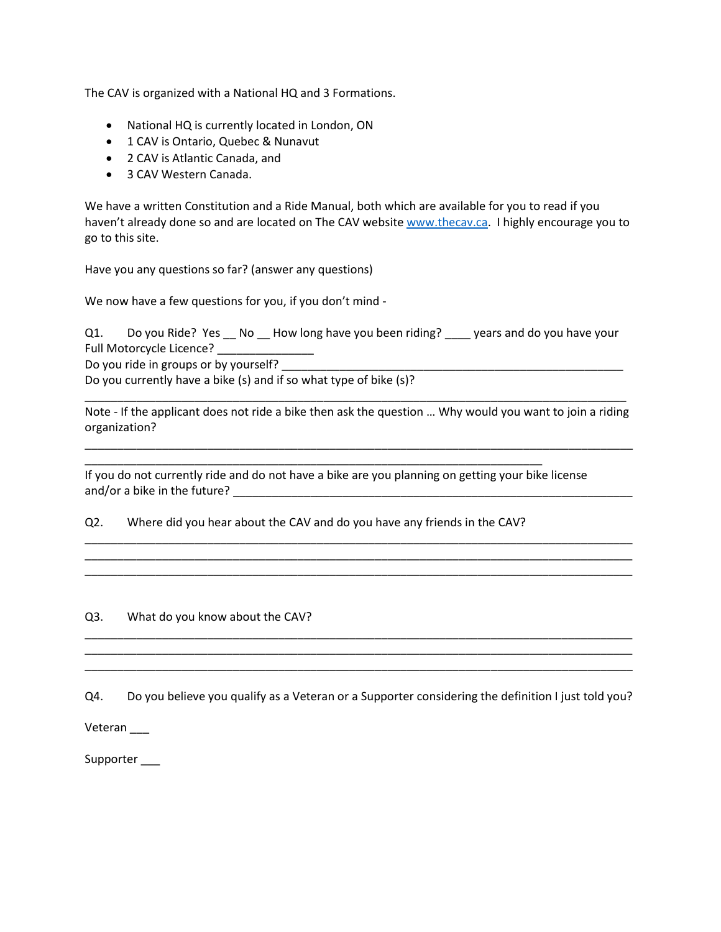The CAV is organized with a National HQ and 3 Formations.

- National HQ is currently located in London, ON
- 1 CAV is Ontario, Quebec & Nunavut
- 2 CAV is Atlantic Canada, and
- 3 CAV Western Canada.

We have a written Constitution and a Ride Manual, both which are available for you to read if you haven't already done so and are located on The CAV websit[e www.thecav.ca.](http://www.thecav.ca/) I highly encourage you to go to this site.

Have you any questions so far? (answer any questions)

We now have a few questions for you, if you don't mind -

Q1. Do you Ride? Yes \_\_ No \_\_ How long have you been riding? \_\_\_\_ years and do you have your Full Motorcycle Licence? \_\_\_\_\_\_\_\_\_\_\_\_\_\_\_

Do you ride in groups or by yourself?

Do you currently have a bike (s) and if so what type of bike (s)?

\_\_\_\_\_\_\_\_\_\_\_\_\_\_\_\_\_\_\_\_\_\_\_\_\_\_\_\_\_\_\_\_\_\_\_\_\_\_\_\_\_\_\_\_\_\_\_\_\_\_\_\_\_\_\_\_\_\_\_\_\_\_\_\_\_\_\_\_\_\_\_\_\_\_\_\_\_\_\_\_\_\_\_\_ Note - If the applicant does not ride a bike then ask the question … Why would you want to join a riding organization?

\_\_\_\_\_\_\_\_\_\_\_\_\_\_\_\_\_\_\_\_\_\_\_\_\_\_\_\_\_\_\_\_\_\_\_\_\_\_\_\_\_\_\_\_\_\_\_\_\_\_\_\_\_\_\_\_\_\_\_\_\_\_\_\_\_\_\_\_\_\_\_\_\_\_\_\_\_\_\_\_\_\_\_\_\_

\_\_\_\_\_\_\_\_\_\_\_\_\_\_\_\_\_\_\_\_\_\_\_\_\_\_\_\_\_\_\_\_\_\_\_\_\_\_\_\_\_\_\_\_\_\_\_\_\_\_\_\_\_\_\_\_\_\_\_\_\_\_\_\_\_\_\_\_\_\_\_\_\_\_\_\_\_\_\_\_\_\_\_\_\_ \_\_\_\_\_\_\_\_\_\_\_\_\_\_\_\_\_\_\_\_\_\_\_\_\_\_\_\_\_\_\_\_\_\_\_\_\_\_\_\_\_\_\_\_\_\_\_\_\_\_\_\_\_\_\_\_\_\_\_\_\_\_\_\_\_\_\_\_\_\_\_\_\_\_\_\_\_\_\_\_\_\_\_\_\_ \_\_\_\_\_\_\_\_\_\_\_\_\_\_\_\_\_\_\_\_\_\_\_\_\_\_\_\_\_\_\_\_\_\_\_\_\_\_\_\_\_\_\_\_\_\_\_\_\_\_\_\_\_\_\_\_\_\_\_\_\_\_\_\_\_\_\_\_\_\_\_\_\_\_\_\_\_\_\_\_\_\_\_\_\_

If you do not currently ride and do not have a bike are you planning on getting your bike license and/or a bike in the future? \_\_\_\_\_\_\_\_\_\_\_\_\_\_\_\_\_\_\_\_\_\_\_\_\_\_\_\_\_\_\_\_\_\_\_\_\_\_\_\_\_\_\_\_\_\_\_\_\_\_\_\_\_\_\_\_\_\_\_\_\_\_

Q2. Where did you hear about the CAV and do you have any friends in the CAV?

\_\_\_\_\_\_\_\_\_\_\_\_\_\_\_\_\_\_\_\_\_\_\_\_\_\_\_\_\_\_\_\_\_\_\_\_\_\_\_\_\_\_\_\_\_\_\_\_\_\_\_\_\_\_\_\_\_\_\_\_\_\_\_\_\_\_\_\_\_\_\_

Q3. What do you know about the CAV?

Q4. Do you believe you qualify as a Veteran or a Supporter considering the definition I just told you?

\_\_\_\_\_\_\_\_\_\_\_\_\_\_\_\_\_\_\_\_\_\_\_\_\_\_\_\_\_\_\_\_\_\_\_\_\_\_\_\_\_\_\_\_\_\_\_\_\_\_\_\_\_\_\_\_\_\_\_\_\_\_\_\_\_\_\_\_\_\_\_\_\_\_\_\_\_\_\_\_\_\_\_\_\_ \_\_\_\_\_\_\_\_\_\_\_\_\_\_\_\_\_\_\_\_\_\_\_\_\_\_\_\_\_\_\_\_\_\_\_\_\_\_\_\_\_\_\_\_\_\_\_\_\_\_\_\_\_\_\_\_\_\_\_\_\_\_\_\_\_\_\_\_\_\_\_\_\_\_\_\_\_\_\_\_\_\_\_\_\_ \_\_\_\_\_\_\_\_\_\_\_\_\_\_\_\_\_\_\_\_\_\_\_\_\_\_\_\_\_\_\_\_\_\_\_\_\_\_\_\_\_\_\_\_\_\_\_\_\_\_\_\_\_\_\_\_\_\_\_\_\_\_\_\_\_\_\_\_\_\_\_\_\_\_\_\_\_\_\_\_\_\_\_\_\_

**Veteran** 

Supporter \_\_\_\_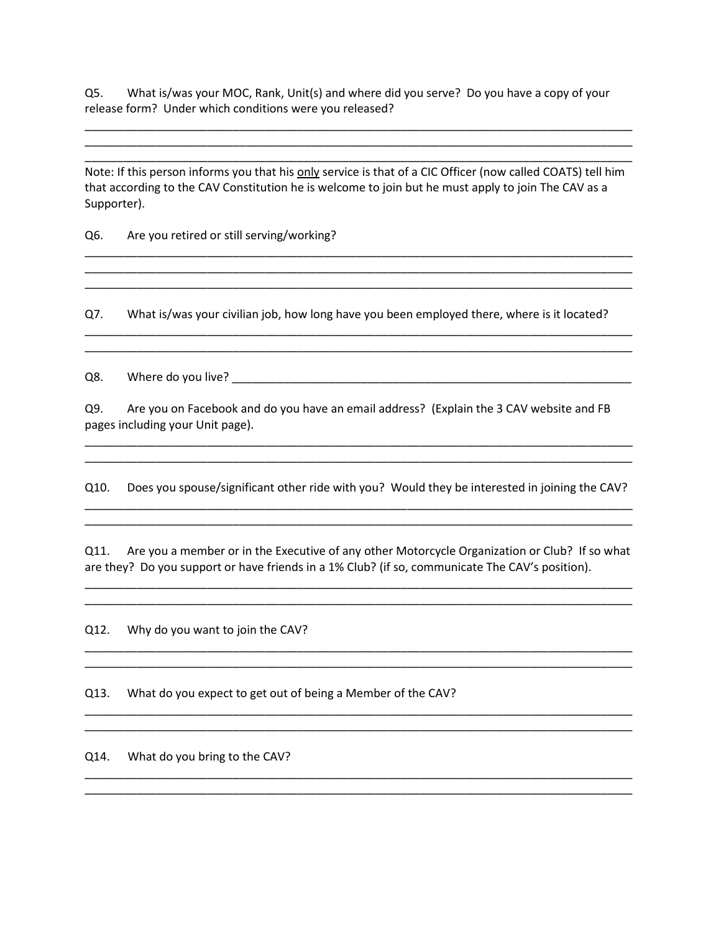Q5. What is/was your MOC, Rank, Unit(s) and where did you serve? Do you have a copy of your release form? Under which conditions were you released?

Note: If this person informs you that his only service is that of a CIC Officer (now called COATS) tell him that according to the CAV Constitution he is welcome to join but he must apply to join The CAV as a Supporter).

\_\_\_\_\_\_\_\_\_\_\_\_\_\_\_\_\_\_\_\_\_\_\_\_\_\_\_\_\_\_\_\_\_\_\_\_\_\_\_\_\_\_\_\_\_\_\_\_\_\_\_\_\_\_\_\_\_\_\_\_\_\_\_\_\_\_\_\_\_\_\_\_\_\_\_\_\_\_\_\_\_\_\_\_\_ \_\_\_\_\_\_\_\_\_\_\_\_\_\_\_\_\_\_\_\_\_\_\_\_\_\_\_\_\_\_\_\_\_\_\_\_\_\_\_\_\_\_\_\_\_\_\_\_\_\_\_\_\_\_\_\_\_\_\_\_\_\_\_\_\_\_\_\_\_\_\_\_\_\_\_\_\_\_\_\_\_\_\_\_\_ \_\_\_\_\_\_\_\_\_\_\_\_\_\_\_\_\_\_\_\_\_\_\_\_\_\_\_\_\_\_\_\_\_\_\_\_\_\_\_\_\_\_\_\_\_\_\_\_\_\_\_\_\_\_\_\_\_\_\_\_\_\_\_\_\_\_\_\_\_\_\_\_\_\_\_\_\_\_\_\_\_\_\_\_\_

\_\_\_\_\_\_\_\_\_\_\_\_\_\_\_\_\_\_\_\_\_\_\_\_\_\_\_\_\_\_\_\_\_\_\_\_\_\_\_\_\_\_\_\_\_\_\_\_\_\_\_\_\_\_\_\_\_\_\_\_\_\_\_\_\_\_\_\_\_\_\_\_\_\_\_\_\_\_\_\_\_\_\_\_\_ \_\_\_\_\_\_\_\_\_\_\_\_\_\_\_\_\_\_\_\_\_\_\_\_\_\_\_\_\_\_\_\_\_\_\_\_\_\_\_\_\_\_\_\_\_\_\_\_\_\_\_\_\_\_\_\_\_\_\_\_\_\_\_\_\_\_\_\_\_\_\_\_\_\_\_\_\_\_\_\_\_\_\_\_\_ \_\_\_\_\_\_\_\_\_\_\_\_\_\_\_\_\_\_\_\_\_\_\_\_\_\_\_\_\_\_\_\_\_\_\_\_\_\_\_\_\_\_\_\_\_\_\_\_\_\_\_\_\_\_\_\_\_\_\_\_\_\_\_\_\_\_\_\_\_\_\_\_\_\_\_\_\_\_\_\_\_\_\_\_\_

Q6. Are you retired or still serving/working?

Q7. What is/was your civilian job, how long have you been employed there, where is it located?

\_\_\_\_\_\_\_\_\_\_\_\_\_\_\_\_\_\_\_\_\_\_\_\_\_\_\_\_\_\_\_\_\_\_\_\_\_\_\_\_\_\_\_\_\_\_\_\_\_\_\_\_\_\_\_\_\_\_\_\_\_\_\_\_\_\_\_\_\_\_\_\_\_\_\_\_\_\_\_\_\_\_\_\_\_ \_\_\_\_\_\_\_\_\_\_\_\_\_\_\_\_\_\_\_\_\_\_\_\_\_\_\_\_\_\_\_\_\_\_\_\_\_\_\_\_\_\_\_\_\_\_\_\_\_\_\_\_\_\_\_\_\_\_\_\_\_\_\_\_\_\_\_\_\_\_\_\_\_\_\_\_\_\_\_\_\_\_\_\_\_

Q8. Where do you live? Letter that the set of the set of the set of the set of the set of the set of the set of the set of the set of the set of the set of the set of the set of the set of the set of the set of the set of

Q9. Are you on Facebook and do you have an email address? (Explain the 3 CAV website and FB pages including your Unit page).

Q10. Does you spouse/significant other ride with you? Would they be interested in joining the CAV?

\_\_\_\_\_\_\_\_\_\_\_\_\_\_\_\_\_\_\_\_\_\_\_\_\_\_\_\_\_\_\_\_\_\_\_\_\_\_\_\_\_\_\_\_\_\_\_\_\_\_\_\_\_\_\_\_\_\_\_\_\_\_\_\_\_\_\_\_\_\_\_\_\_\_\_\_\_\_\_\_\_\_\_\_\_ \_\_\_\_\_\_\_\_\_\_\_\_\_\_\_\_\_\_\_\_\_\_\_\_\_\_\_\_\_\_\_\_\_\_\_\_\_\_\_\_\_\_\_\_\_\_\_\_\_\_\_\_\_\_\_\_\_\_\_\_\_\_\_\_\_\_\_\_\_\_\_\_\_\_\_\_\_\_\_\_\_\_\_\_\_

\_\_\_\_\_\_\_\_\_\_\_\_\_\_\_\_\_\_\_\_\_\_\_\_\_\_\_\_\_\_\_\_\_\_\_\_\_\_\_\_\_\_\_\_\_\_\_\_\_\_\_\_\_\_\_\_\_\_\_\_\_\_\_\_\_\_\_\_\_\_\_\_\_\_\_\_\_\_\_\_\_\_\_\_\_ \_\_\_\_\_\_\_\_\_\_\_\_\_\_\_\_\_\_\_\_\_\_\_\_\_\_\_\_\_\_\_\_\_\_\_\_\_\_\_\_\_\_\_\_\_\_\_\_\_\_\_\_\_\_\_\_\_\_\_\_\_\_\_\_\_\_\_\_\_\_\_\_\_\_\_\_\_\_\_\_\_\_\_\_\_

Q11. Are you a member or in the Executive of any other Motorcycle Organization or Club? If so what are they? Do you support or have friends in a 1% Club? (if so, communicate The CAV's position).

\_\_\_\_\_\_\_\_\_\_\_\_\_\_\_\_\_\_\_\_\_\_\_\_\_\_\_\_\_\_\_\_\_\_\_\_\_\_\_\_\_\_\_\_\_\_\_\_\_\_\_\_\_\_\_\_\_\_\_\_\_\_\_\_\_\_\_\_\_\_\_\_\_\_\_\_\_\_\_\_\_\_\_\_\_ \_\_\_\_\_\_\_\_\_\_\_\_\_\_\_\_\_\_\_\_\_\_\_\_\_\_\_\_\_\_\_\_\_\_\_\_\_\_\_\_\_\_\_\_\_\_\_\_\_\_\_\_\_\_\_\_\_\_\_\_\_\_\_\_\_\_\_\_\_\_\_\_\_\_\_\_\_\_\_\_\_\_\_\_\_

\_\_\_\_\_\_\_\_\_\_\_\_\_\_\_\_\_\_\_\_\_\_\_\_\_\_\_\_\_\_\_\_\_\_\_\_\_\_\_\_\_\_\_\_\_\_\_\_\_\_\_\_\_\_\_\_\_\_\_\_\_\_\_\_\_\_\_\_\_\_\_\_\_\_\_\_\_\_\_\_\_\_\_\_\_ \_\_\_\_\_\_\_\_\_\_\_\_\_\_\_\_\_\_\_\_\_\_\_\_\_\_\_\_\_\_\_\_\_\_\_\_\_\_\_\_\_\_\_\_\_\_\_\_\_\_\_\_\_\_\_\_\_\_\_\_\_\_\_\_\_\_\_\_\_\_\_\_\_\_\_\_\_\_\_\_\_\_\_\_\_

\_\_\_\_\_\_\_\_\_\_\_\_\_\_\_\_\_\_\_\_\_\_\_\_\_\_\_\_\_\_\_\_\_\_\_\_\_\_\_\_\_\_\_\_\_\_\_\_\_\_\_\_\_\_\_\_\_\_\_\_\_\_\_\_\_\_\_\_\_\_\_\_\_\_\_\_\_\_\_\_\_\_\_\_\_ \_\_\_\_\_\_\_\_\_\_\_\_\_\_\_\_\_\_\_\_\_\_\_\_\_\_\_\_\_\_\_\_\_\_\_\_\_\_\_\_\_\_\_\_\_\_\_\_\_\_\_\_\_\_\_\_\_\_\_\_\_\_\_\_\_\_\_\_\_\_\_\_\_\_\_\_\_\_\_\_\_\_\_\_\_

\_\_\_\_\_\_\_\_\_\_\_\_\_\_\_\_\_\_\_\_\_\_\_\_\_\_\_\_\_\_\_\_\_\_\_\_\_\_\_\_\_\_\_\_\_\_\_\_\_\_\_\_\_\_\_\_\_\_\_\_\_\_\_\_\_\_\_\_\_\_\_\_\_\_\_\_\_\_\_\_\_\_\_\_\_ \_\_\_\_\_\_\_\_\_\_\_\_\_\_\_\_\_\_\_\_\_\_\_\_\_\_\_\_\_\_\_\_\_\_\_\_\_\_\_\_\_\_\_\_\_\_\_\_\_\_\_\_\_\_\_\_\_\_\_\_\_\_\_\_\_\_\_\_\_\_\_\_\_\_\_\_\_\_\_\_\_\_\_\_\_

Q12. Why do you want to join the CAV?

Q13. What do you expect to get out of being a Member of the CAV?

Q14. What do you bring to the CAV?